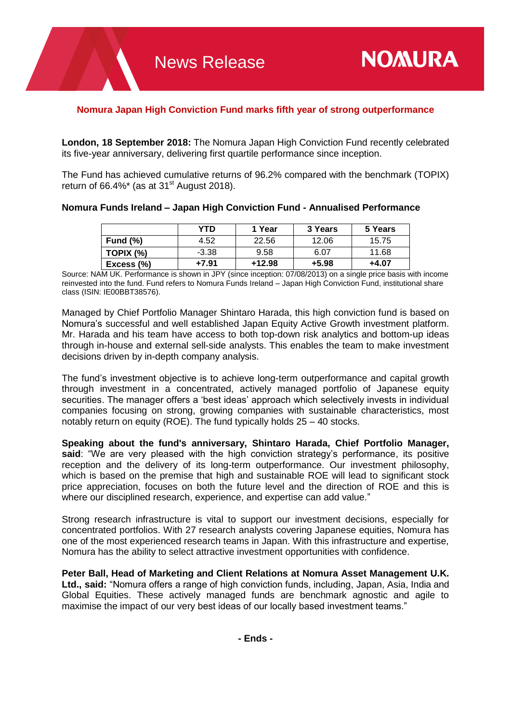## **Nomura Japan High Conviction Fund marks fifth year of strong outperformance**

**London, 18 September 2018:** The Nomura Japan High Conviction Fund recently celebrated its five-year anniversary, delivering first quartile performance since inception.

The Fund has achieved cumulative returns of 96.2% compared with the benchmark (TOPIX) return of 66.4%\* (as at 31 $\mathrm{^{st}}$  August 2018).

## **Nomura Funds Ireland – Japan High Conviction Fund - Annualised Performance**

|             | YTD     | 1 Year   | 3 Years | 5 Years |
|-------------|---------|----------|---------|---------|
| Fund $(\%)$ | 4.52    | 22.56    | 12.06   | 15.75   |
| TOPIX (%)   | $-3.38$ | 9.58     | 6.07    | 11.68   |
| Excess (%)  | +7.91   | $+12.98$ | +5.98   | +4.07   |

Source: NAM UK. Performance is shown in JPY (since inception: 07/08/2013) on a single price basis with income reinvested into the fund. Fund refers to Nomura Funds Ireland – Japan High Conviction Fund, institutional share class (ISIN: IE00BBT38576).

Managed by Chief Portfolio Manager Shintaro Harada, this high conviction fund is based on Nomura's successful and well established Japan Equity Active Growth investment platform. Mr. Harada and his team have access to both top-down risk analytics and bottom-up ideas through in-house and external sell-side analysts. This enables the team to make investment decisions driven by in-depth company analysis.

The fund's investment objective is to achieve long-term outperformance and capital growth through investment in a concentrated, actively managed portfolio of Japanese equity securities. The manager offers a 'best ideas' approach which selectively invests in individual companies focusing on strong, growing companies with sustainable characteristics, most notably return on equity (ROE). The fund typically holds 25 – 40 stocks.

**Speaking about the fund's anniversary, Shintaro Harada, Chief Portfolio Manager, said**: "We are very pleased with the high conviction strategy's performance, its positive reception and the delivery of its long-term outperformance. Our investment philosophy, which is based on the premise that high and sustainable ROE will lead to significant stock price appreciation, focuses on both the future level and the direction of ROE and this is where our disciplined research, experience, and expertise can add value."

Strong research infrastructure is vital to support our investment decisions, especially for concentrated portfolios. With 27 research analysts covering Japanese equities, Nomura has one of the most experienced research teams in Japan. With this infrastructure and expertise, Nomura has the ability to select attractive investment opportunities with confidence.

**Peter Ball, Head of Marketing and Client Relations at Nomura Asset Management U.K. Ltd., said:** "Nomura offers a range of high conviction funds, including, Japan, Asia, India and Global Equities. These actively managed funds are benchmark agnostic and agile to maximise the impact of our very best ideas of our locally based investment teams."